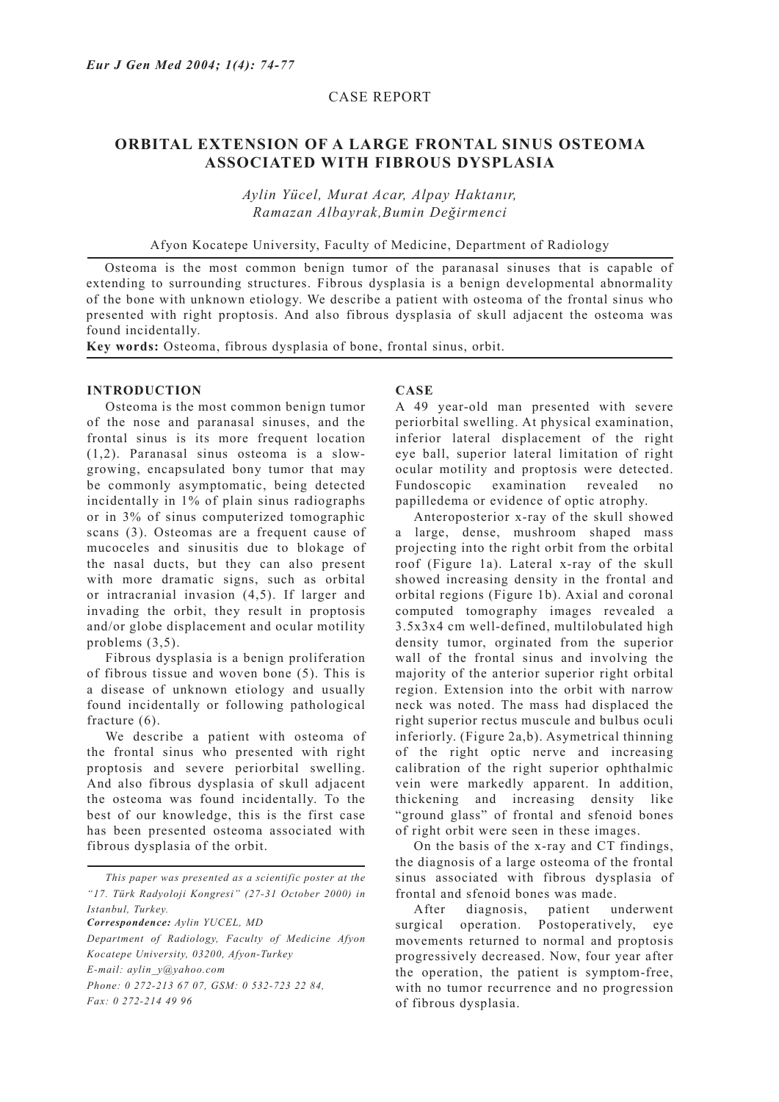# CASE REPORT

# **ORBITAL EXTENSION OF A LARGE FRONTAL SINUS OSTEOMA ASSOCIATED WITH FIBROUS DYSPLASIA**

*Aylin Yücel, Murat Acar, Alpay Haktanır, Ramazan Albayrak,Bumin Değirmenci*

Afyon Kocatepe University, Faculty of Medicine, Department of Radiology

Osteoma is the most common benign tumor of the paranasal sinuses that is capable of extending to surrounding structures. Fibrous dysplasia is a benign developmental abnormality of the bone with unknown etiology. We describe a patient with osteoma of the frontal sinus who presented with right proptosis. And also fibrous dysplasia of skull adjacent the osteoma was found incidentally.

**Key words:** Osteoma, fibrous dysplasia of bone, frontal sinus, orbit.

#### **INTRODUCTION**

Osteoma is the most common benign tumor of the nose and paranasal sinuses, and the frontal sinus is its more frequent location (1,2). Paranasal sinus osteoma is a slowgrowing, encapsulated bony tumor that may be commonly asymptomatic, being detected incidentally in 1% of plain sinus radiographs or in 3% of sinus computerized tomographic scans (3). Osteomas are a frequent cause of mucoceles and sinusitis due to blokage of the nasal ducts, but they can also present with more dramatic signs, such as orbital or intracranial invasion (4,5). If larger and invading the orbit, they result in proptosis and/or globe displacement and ocular motility problems (3,5).

Fibrous dysplasia is a benign proliferation of fibrous tissue and woven bone (5). This is a disease of unknown etiology and usually found incidentally or following pathological fracture (6).

We describe a patient with osteoma of the frontal sinus who presented with right proptosis and severe periorbital swelling. And also fibrous dysplasia of skull adjacent the osteoma was found incidentally. To the best of our knowledge, this is the first case has been presented osteoma associated with fibrous dysplasia of the orbit.

*Correspondence: Aylin YUCEL, MD*

*Department of Radiology, Faculty of Medicine Afyon Kocatepe University, 03200, Afyon-Turkey E-mail: aylin\_y@yahoo.com Phone: 0 272-213 67 07, GSM: 0 532-723 22 84, Fax: 0 272-214 49 96*

#### **CASE**

A 49 year-old man presented with severe periorbital swelling. At physical examination, inferior lateral displacement of the right eye ball, superior lateral limitation of right ocular motility and proptosis were detected. Fundoscopic examination revealed no papilledema or evidence of optic atrophy.

Anteroposterior x-ray of the skull showed a large, dense, mushroom shaped mass projecting into the right orbit from the orbital roof (Figure 1a). Lateral x-ray of the skull showed increasing density in the frontal and orbital regions (Figure 1b). Axial and coronal computed tomography images revealed a 3.5x3x4 cm well-defined, multilobulated high density tumor, orginated from the superior wall of the frontal sinus and involving the majority of the anterior superior right orbital region. Extension into the orbit with narrow neck was noted. The mass had displaced the right superior rectus muscule and bulbus oculi inferiorly. (Figure 2a,b). Asymetrical thinning of the right optic nerve and increasing calibration of the right superior ophthalmic vein were markedly apparent. In addition, thickening and increasing density like "ground glass" of frontal and sfenoid bones of right orbit were seen in these images.

On the basis of the x-ray and CT findings, the diagnosis of a large osteoma of the frontal sinus associated with fibrous dysplasia of frontal and sfenoid bones was made.

After diagnosis, patient underwent surgical operation. Postoperatively, eye movements returned to normal and proptosis progressively decreased. Now, four year after the operation, the patient is symptom-free, with no tumor recurrence and no progression of fibrous dysplasia.

*This paper was presented as a scientific poster at the "17. Türk Radyoloji Kongresi" (27-31 October 2000) in Istanbul, Turkey.*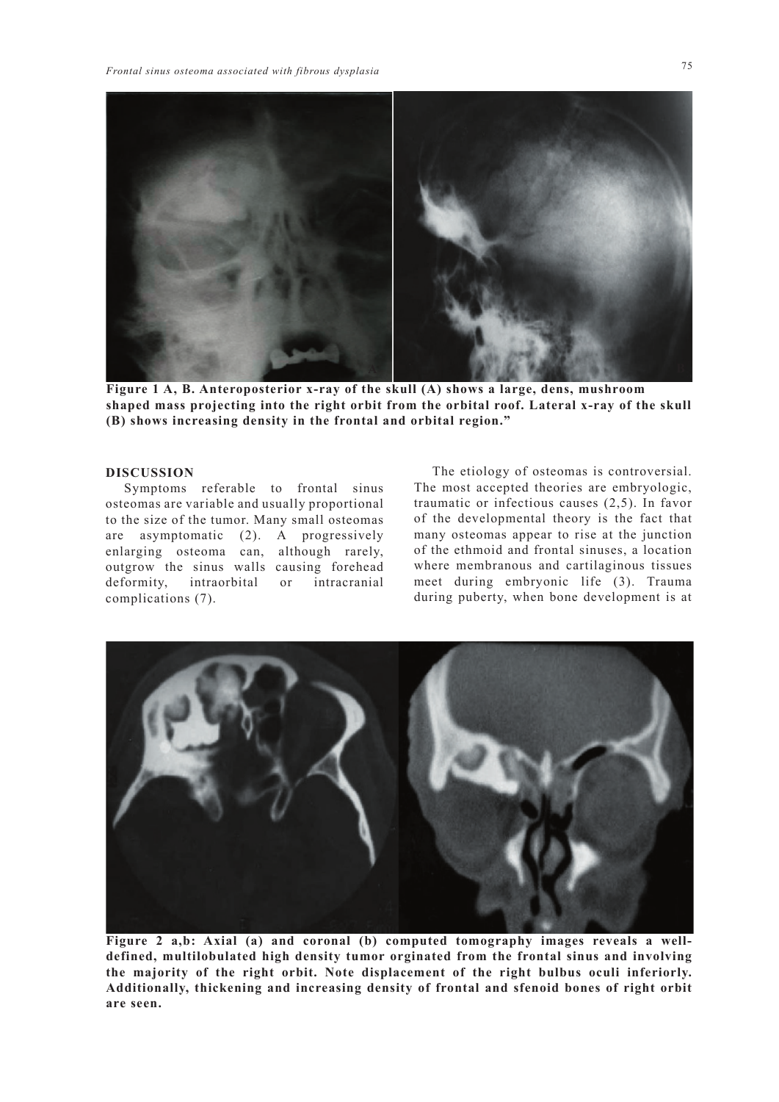

**Figure 1 A, B. Anteroposterior x-ray of the skull (A) shows a large, dens, mushroom shaped mass projecting into the right orbit from the orbital roof. Lateral x-ray of the skull (B) shows increasing density in the frontal and orbital region."**

### **DISCUSSION**

Symptoms referable to frontal sinus osteomas are variable and usually proportional to the size of the tumor. Many small osteomas are asymptomatic (2). A progressively enlarging osteoma can, although rarely, outgrow the sinus walls causing forehead deformity, intraorbital or intracranial complications (7).

The etiology of osteomas is controversial. The most accepted theories are embryologic, traumatic or infectious causes (2,5). In favor of the developmental theory is the fact that many osteomas appear to rise at the junction of the ethmoid and frontal sinuses, a location where membranous and cartilaginous tissues meet during embryonic life (3). Trauma during puberty, when bone development is at



**Figure 2 a,b: Axial (a) and coronal (b) computed tomography images reveals a welldefined, multilobulated high density tumor orginated from the frontal sinus and involving the majority of the right orbit. Note displacement of the right bulbus oculi inferiorly. Additionally, thickening and increasing density of frontal and sfenoid bones of right orbit are seen.**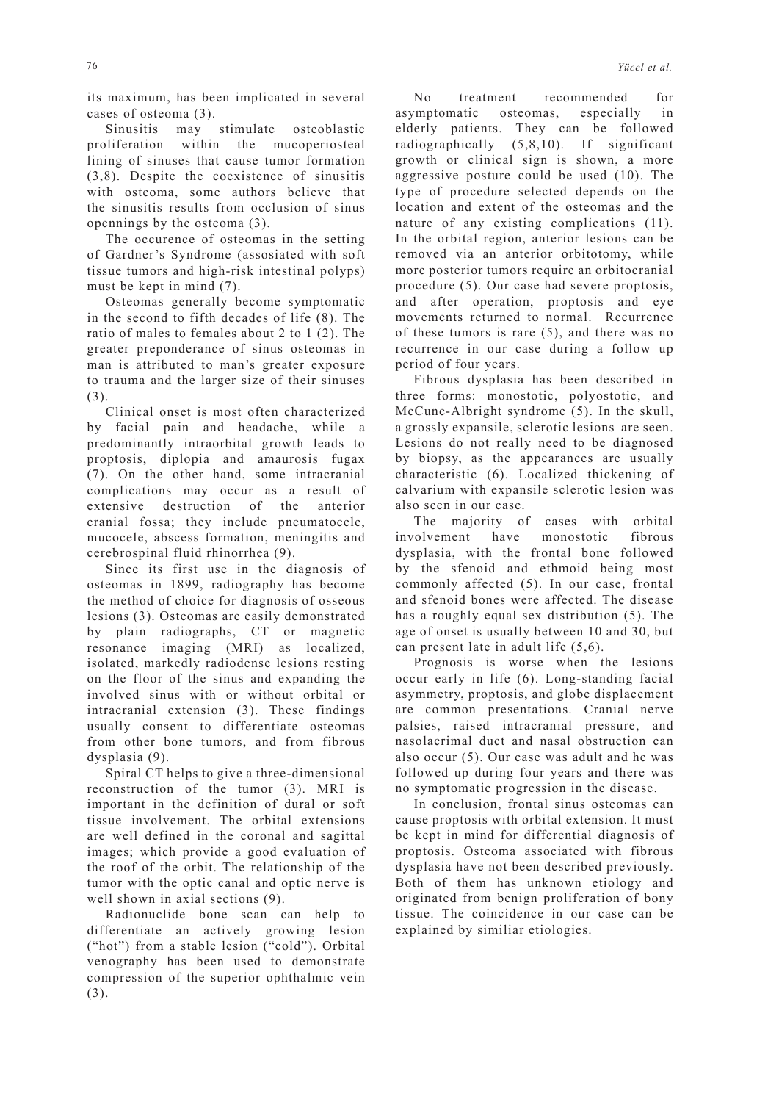its maximum, has been implicated in several cases of osteoma (3).

Sinusitis may stimulate osteoblastic proliferation within the mucoperiosteal lining of sinuses that cause tumor formation (3,8). Despite the coexistence of sinusitis with osteoma, some authors believe that the sinusitis results from occlusion of sinus opennings by the osteoma (3).

The occurence of osteomas in the setting of Gardner's Syndrome (assosiated with soft tissue tumors and high-risk intestinal polyps) must be kept in mind (7).

Osteomas generally become symptomatic in the second to fifth decades of life (8). The ratio of males to females about 2 to 1 (2). The greater preponderance of sinus osteomas in man is attributed to man's greater exposure to trauma and the larger size of their sinuses (3).

Clinical onset is most often characterized by facial pain and headache, while a predominantly intraorbital growth leads to proptosis, diplopia and amaurosis fugax (7). On the other hand, some intracranial complications may occur as a result of extensive destruction of the anterior cranial fossa; they include pneumatocele, mucocele, abscess formation, meningitis and cerebrospinal fluid rhinorrhea (9).

Since its first use in the diagnosis of osteomas in 1899, radiography has become the method of choice for diagnosis of osseous lesions (3). Osteomas are easily demonstrated by plain radiographs, CT or magnetic resonance imaging (MRI) as localized, isolated, markedly radiodense lesions resting on the floor of the sinus and expanding the involved sinus with or without orbital or intracranial extension (3). These findings usually consent to differentiate osteomas from other bone tumors, and from fibrous dysplasia (9).

Spiral CT helps to give a three-dimensional reconstruction of the tumor (3). MRI is important in the definition of dural or soft tissue involvement. The orbital extensions are well defined in the coronal and sagittal images; which provide a good evaluation of the roof of the orbit. The relationship of the tumor with the optic canal and optic nerve is well shown in axial sections (9).

Radionuclide bone scan can help to differentiate an actively growing lesion ("hot") from a stable lesion ("cold"). Orbital venography has been used to demonstrate compression of the superior ophthalmic vein (3).

No treatment recommended for asymptomatic osteomas, especially in elderly patients. They can be followed radiographically (5,8,10). If significant growth or clinical sign is shown, a more aggressive posture could be used (10). The type of procedure selected depends on the location and extent of the osteomas and the nature of any existing complications (11). In the orbital region, anterior lesions can be removed via an anterior orbitotomy, while more posterior tumors require an orbitocranial procedure (5). Our case had severe proptosis, and after operation, proptosis and eye movements returned to normal. Recurrence of these tumors is rare (5), and there was no recurrence in our case during a follow up period of four years.

Fibrous dysplasia has been described in three forms: monostotic, polyostotic, and McCune-Albright syndrome (5). In the skull, a grossly expansile, sclerotic lesions are seen. Lesions do not really need to be diagnosed by biopsy, as the appearances are usually characteristic (6). Localized thickening of calvarium with expansile sclerotic lesion was also seen in our case.

The majority of cases with orbital involvement have monostotic fibrous dysplasia, with the frontal bone followed by the sfenoid and ethmoid being most commonly affected (5). In our case, frontal and sfenoid bones were affected. The disease has a roughly equal sex distribution (5). The age of onset is usually between 10 and 30, but can present late in adult life (5,6).

Prognosis is worse when the lesions occur early in life (6). Long-standing facial asymmetry, proptosis, and globe displacement are common presentations. Cranial nerve palsies, raised intracranial pressure, and nasolacrimal duct and nasal obstruction can also occur (5). Our case was adult and he was followed up during four years and there was no symptomatic progression in the disease.

In conclusion, frontal sinus osteomas can cause proptosis with orbital extension. It must be kept in mind for differential diagnosis of proptosis. Osteoma associated with fibrous dysplasia have not been described previously. Both of them has unknown etiology and originated from benign proliferation of bony tissue. The coincidence in our case can be explained by similiar etiologies.